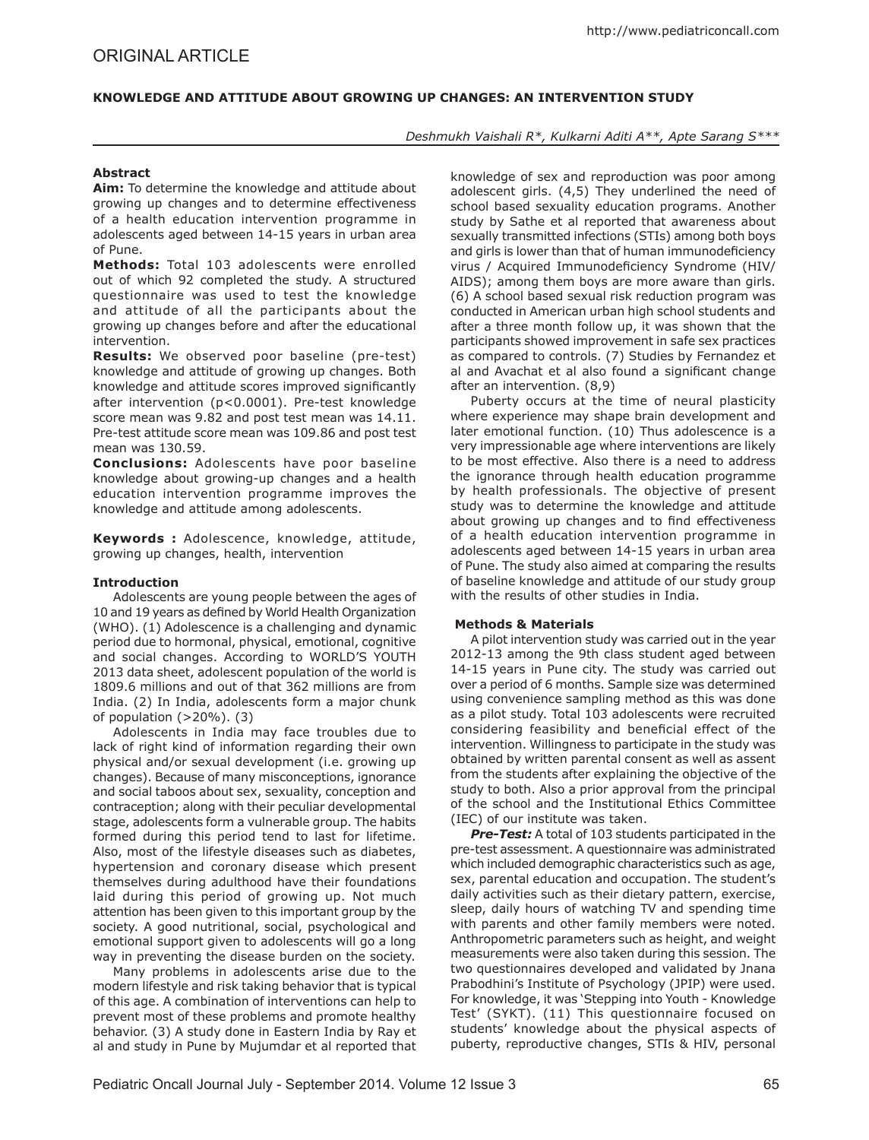# **Knowledge and Attitude about Growing up Changes: An Intervention Study**

## *Deshmukh Vaishali R\*, Kulkarni Aditi A\*\*, Apte Sarang S\*\*\**

# **Abstract**

**Aim:** To determine the knowledge and attitude about growing up changes and to determine effectiveness of a health education intervention programme in adolescents aged between 14-15 years in urban area of Pune.

**Methods:** Total 103 adolescents were enrolled out of which 92 completed the study. A structured questionnaire was used to test the knowledge and attitude of all the participants about the growing up changes before and after the educational intervention.

**Results:** We observed poor baseline (pre-test) knowledge and attitude of growing up changes. Both knowledge and attitude scores improved significantly after intervention (p<0.0001). Pre-test knowledge score mean was 9.82 and post test mean was 14.11. Pre-test attitude score mean was 109.86 and post test mean was 130.59.

**Conclusions:** Adolescents have poor baseline knowledge about growing-up changes and a health education intervention programme improves the knowledge and attitude among adolescents.

**Keywords :** Adolescence, knowledge, attitude, growing up changes, health, intervention

## **Introduction**

Adolescents are young people between the ages of 10 and 19 years as defined by World Health Organization (WHO). (1) Adolescence is a challenging and dynamic period due to hormonal, physical, emotional, cognitive and social changes. According to WORLD'S YOUTH 2013 data sheet, adolescent population of the world is 1809.6 millions and out of that 362 millions are from India. (2) In India, adolescents form a major chunk of population (>20%). (3)

Adolescents in India may face troubles due to lack of right kind of information regarding their own physical and/or sexual development (i.e. growing up changes). Because of many misconceptions, ignorance and social taboos about sex, sexuality, conception and contraception; along with their peculiar developmental stage, adolescents form a vulnerable group. The habits formed during this period tend to last for lifetime. Also, most of the lifestyle diseases such as diabetes, hypertension and coronary disease which present themselves during adulthood have their foundations laid during this period of growing up. Not much attention has been given to this important group by the society. A good nutritional, social, psychological and emotional support given to adolescents will go a long way in preventing the disease burden on the society.

Many problems in adolescents arise due to the modern lifestyle and risk taking behavior that is typical of this age. A combination of interventions can help to prevent most of these problems and promote healthy behavior. (3) A study done in Eastern India by Ray et al and study in Pune by Mujumdar et al reported that knowledge of sex and reproduction was poor among adolescent girls. (4,5) They underlined the need of school based sexuality education programs. Another study by Sathe et al reported that awareness about sexually transmitted infections (STIs) among both boys and girls is lower than that of human immunodeficiency virus / Acquired Immunodeficiency Syndrome (HIV/ AIDS); among them boys are more aware than girls. (6) A school based sexual risk reduction program was conducted in American urban high school students and after a three month follow up, it was shown that the participants showed improvement in safe sex practices as compared to controls. (7) Studies by Fernandez et al and Avachat et al also found a significant change after an intervention. (8,9)

Puberty occurs at the time of neural plasticity where experience may shape brain development and later emotional function. (10) Thus adolescence is a very impressionable age where interventions are likely to be most effective. Also there is a need to address the ignorance through health education programme by health professionals. The objective of present study was to determine the knowledge and attitude about growing up changes and to find effectiveness of a health education intervention programme in adolescents aged between 14-15 years in urban area of Pune. The study also aimed at comparing the results of baseline knowledge and attitude of our study group with the results of other studies in India.

## **Methods & Materials**

A pilot intervention study was carried out in the year 2012-13 among the 9th class student aged between 14-15 years in Pune city. The study was carried out over a period of 6 months. Sample size was determined using convenience sampling method as this was done as a pilot study. Total 103 adolescents were recruited considering feasibility and beneficial effect of the intervention. Willingness to participate in the study was obtained by written parental consent as well as assent from the students after explaining the objective of the study to both. Also a prior approval from the principal of the school and the Institutional Ethics Committee (IEC) of our institute was taken.

*Pre-Test:* A total of 103 students participated in the pre-test assessment. A questionnaire was administrated which included demographic characteristics such as age, sex, parental education and occupation. The student's daily activities such as their dietary pattern, exercise, sleep, daily hours of watching TV and spending time with parents and other family members were noted. Anthropometric parameters such as height, and weight measurements were also taken during this session. The two questionnaires developed and validated by Jnana Prabodhini's Institute of Psychology (JPIP) were used. For knowledge, it was 'Stepping into Youth - Knowledge Test' (SYKT). (11) This questionnaire focused on students' knowledge about the physical aspects of puberty, reproductive changes, STIs & HIV, personal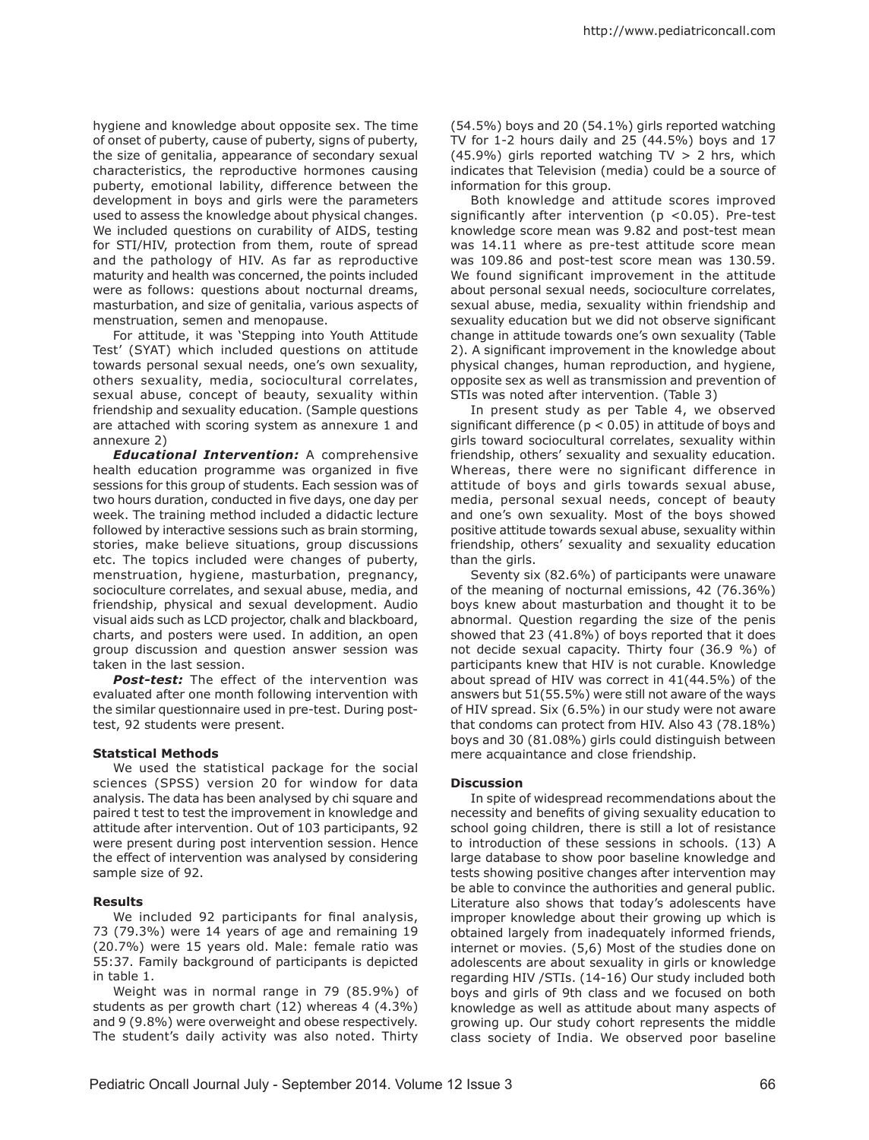hygiene and knowledge about opposite sex. The time of onset of puberty, cause of puberty, signs of puberty, the size of genitalia, appearance of secondary sexual characteristics, the reproductive hormones causing puberty, emotional lability, difference between the development in boys and girls were the parameters used to assess the knowledge about physical changes. We included questions on curability of AIDS, testing for STI/HIV, protection from them, route of spread and the pathology of HIV. As far as reproductive maturity and health was concerned, the points included were as follows: questions about nocturnal dreams, masturbation, and size of genitalia, various aspects of menstruation, semen and menopause.

For attitude, it was 'Stepping into Youth Attitude Test' (SYAT) which included questions on attitude towards personal sexual needs, one's own sexuality, others sexuality, media, sociocultural correlates, sexual abuse, concept of beauty, sexuality within friendship and sexuality education. (Sample questions are attached with scoring system as annexure 1 and annexure 2)

*Educational Intervention:* A comprehensive health education programme was organized in five sessions for this group of students. Each session was of two hours duration, conducted in five days, one day per week. The training method included a didactic lecture followed by interactive sessions such as brain storming, stories, make believe situations, group discussions etc. The topics included were changes of puberty, menstruation, hygiene, masturbation, pregnancy, socioculture correlates, and sexual abuse, media, and friendship, physical and sexual development. Audio visual aids such as LCD projector, chalk and blackboard, charts, and posters were used. In addition, an open group discussion and question answer session was taken in the last session.

*Post-test:* The effect of the intervention was evaluated after one month following intervention with the similar questionnaire used in pre-test. During posttest, 92 students were present.

## **Statstical Methods**

We used the statistical package for the social sciences (SPSS) version 20 for window for data analysis. The data has been analysed by chi square and paired t test to test the improvement in knowledge and attitude after intervention. Out of 103 participants, 92 were present during post intervention session. Hence the effect of intervention was analysed by considering sample size of 92.

## **Results**

We included 92 participants for final analysis, 73 (79.3%) were 14 years of age and remaining 19 (20.7%) were 15 years old. Male: female ratio was 55:37. Family background of participants is depicted in table 1.

Weight was in normal range in 79 (85.9%) of students as per growth chart (12) whereas 4 (4.3%) and 9 (9.8%) were overweight and obese respectively. The student's daily activity was also noted. Thirty

(54.5%) boys and 20 (54.1%) girls reported watching TV for 1-2 hours daily and 25 (44.5%) boys and 17 (45.9%) girls reported watching  $TV > 2$  hrs, which indicates that Television (media) could be a source of information for this group.

Both knowledge and attitude scores improved significantly after intervention ( $p$  <0.05). Pre-test knowledge score mean was 9.82 and post-test mean was 14.11 where as pre-test attitude score mean was 109.86 and post-test score mean was 130.59. We found significant improvement in the attitude about personal sexual needs, socioculture correlates, sexual abuse, media, sexuality within friendship and sexuality education but we did not observe significant change in attitude towards one's own sexuality (Table 2). A significant improvement in the knowledge about physical changes, human reproduction, and hygiene, opposite sex as well as transmission and prevention of STIs was noted after intervention. (Table 3)

In present study as per Table 4, we observed significant difference ( $p < 0.05$ ) in attitude of boys and girls toward sociocultural correlates, sexuality within friendship, others' sexuality and sexuality education. Whereas, there were no significant difference in attitude of boys and girls towards sexual abuse, media, personal sexual needs, concept of beauty and one's own sexuality. Most of the boys showed positive attitude towards sexual abuse, sexuality within friendship, others' sexuality and sexuality education than the girls.

Seventy six (82.6%) of participants were unaware of the meaning of nocturnal emissions, 42 (76.36%) boys knew about masturbation and thought it to be abnormal. Question regarding the size of the penis showed that 23 (41.8%) of boys reported that it does not decide sexual capacity. Thirty four (36.9 %) of participants knew that HIV is not curable. Knowledge about spread of HIV was correct in 41(44.5%) of the answers but 51(55.5%) were still not aware of the ways of HIV spread. Six (6.5%) in our study were not aware that condoms can protect from HIV. Also 43 (78.18%) boys and 30 (81.08%) girls could distinguish between mere acquaintance and close friendship.

### **Discussion**

In spite of widespread recommendations about the necessity and benefits of giving sexuality education to school going children, there is still a lot of resistance to introduction of these sessions in schools. (13) A large database to show poor baseline knowledge and tests showing positive changes after intervention may be able to convince the authorities and general public. Literature also shows that today's adolescents have improper knowledge about their growing up which is obtained largely from inadequately informed friends, internet or movies. (5,6) Most of the studies done on adolescents are about sexuality in girls or knowledge regarding HIV /STIs. (14-16) Our study included both boys and girls of 9th class and we focused on both knowledge as well as attitude about many aspects of growing up. Our study cohort represents the middle class society of India. We observed poor baseline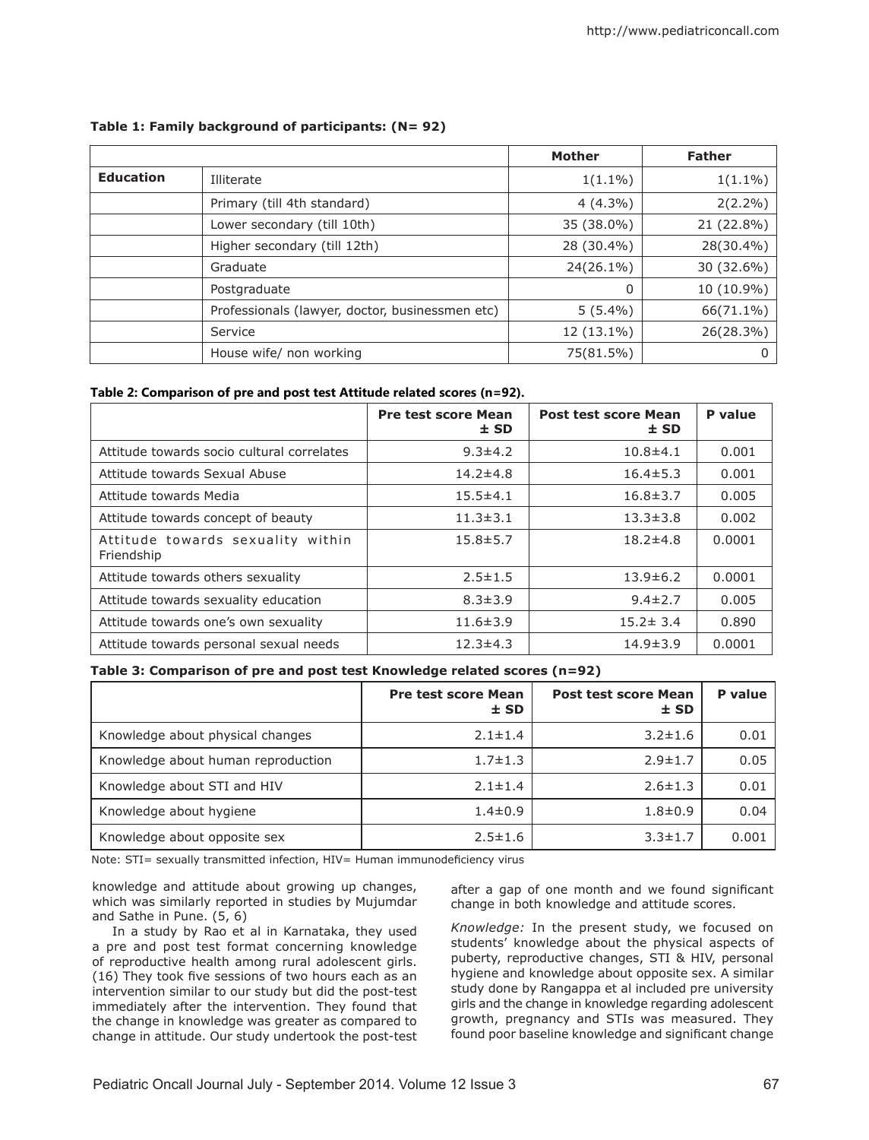|                  |                                                 | <b>Mother</b> | <b>Father</b> |
|------------------|-------------------------------------------------|---------------|---------------|
| <b>Education</b> | Illiterate                                      | $1(1.1\%)$    | $1(1.1\%)$    |
|                  | Primary (till 4th standard)                     | $4(4.3\%)$    | $2(2.2\%)$    |
|                  | Lower secondary (till 10th)                     | 35 (38.0%)    | 21 (22.8%)    |
|                  | Higher secondary (till 12th)                    | 28 (30.4%)    | 28(30.4%)     |
|                  | Graduate                                        | 24(26.1%)     | 30 (32.6%)    |
|                  | Postgraduate                                    | 0             | 10 (10.9%)    |
|                  | Professionals (lawyer, doctor, businessmen etc) | $5(5.4\%)$    | 66(71.1%)     |
|                  | Service                                         | 12 (13.1%)    | 26(28.3%)     |
|                  | House wife/ non working                         | 75(81.5%)     | 0             |

# **Table 1: Family background of participants: (N= 92)**

# **Table 2: Comparison of pre and post test Attitude related scores (n=92).**

|                                                 | <b>Pre test score Mean</b><br>$±$ SD | <b>Post test score Mean</b><br>$±$ SD | P value |
|-------------------------------------------------|--------------------------------------|---------------------------------------|---------|
| Attitude towards socio cultural correlates      | $9.3 \pm 4.2$                        | $10.8 + 4.1$                          | 0.001   |
| Attitude towards Sexual Abuse                   | $14.2 \pm 4.8$                       | $16.4 \pm 5.3$                        | 0.001   |
| Attitude towards Media                          | $15.5 \pm 4.1$                       | $16.8 \pm 3.7$                        | 0.005   |
| Attitude towards concept of beauty              | $11.3 \pm 3.1$                       | $13.3 \pm 3.8$                        | 0.002   |
| Attitude towards sexuality within<br>Friendship | $15.8 \pm 5.7$                       | $18.2 \pm 4.8$                        | 0.0001  |
| Attitude towards others sexuality               | $2.5 \pm 1.5$                        | $13.9 \pm 6.2$                        | 0.0001  |
| Attitude towards sexuality education            | $8.3 \pm 3.9$                        | $9.4 \pm 2.7$                         | 0.005   |
| Attitude towards one's own sexuality            | $11.6 \pm 3.9$                       | $15.2 \pm 3.4$                        | 0.890   |
| Attitude towards personal sexual needs          | $12.3 \pm 4.3$                       | $14.9 \pm 3.9$                        | 0.0001  |

# **Table 3: Comparison of pre and post test Knowledge related scores (n=92)**

|                                    | <b>Pre test score Mean</b><br>$±$ SD | <b>Post test score Mean</b><br>$±$ SD | P value |
|------------------------------------|--------------------------------------|---------------------------------------|---------|
| Knowledge about physical changes   | $2.1 \pm 1.4$                        | $3.2 \pm 1.6$                         | 0.01    |
| Knowledge about human reproduction | $1.7 \pm 1.3$                        | $2.9 \pm 1.7$                         | 0.05    |
| Knowledge about STI and HIV        | $2.1 \pm 1.4$                        | $2.6 \pm 1.3$                         | 0.01    |
| Knowledge about hygiene            | $1.4 \pm 0.9$                        | $1.8 + 0.9$                           | 0.04    |
| Knowledge about opposite sex       | $2.5 \pm 1.6$                        | $3.3 \pm 1.7$                         | 0.001   |

Note: STI= sexually transmitted infection, HIV= Human immunodeficiency virus

knowledge and attitude about growing up changes, which was similarly reported in studies by Mujumdar and Sathe in Pune. (5, 6)

In a study by Rao et al in Karnataka, they used a pre and post test format concerning knowledge of reproductive health among rural adolescent girls. (16) They took five sessions of two hours each as an intervention similar to our study but did the post-test immediately after the intervention. They found that the change in knowledge was greater as compared to change in attitude. Our study undertook the post-test after a gap of one month and we found significant change in both knowledge and attitude scores.

*Knowledge:* In the present study, we focused on students' knowledge about the physical aspects of puberty, reproductive changes, STI & HIV, personal hygiene and knowledge about opposite sex. A similar study done by Rangappa et al included pre university girls and the change in knowledge regarding adolescent growth, pregnancy and STIs was measured. They found poor baseline knowledge and significant change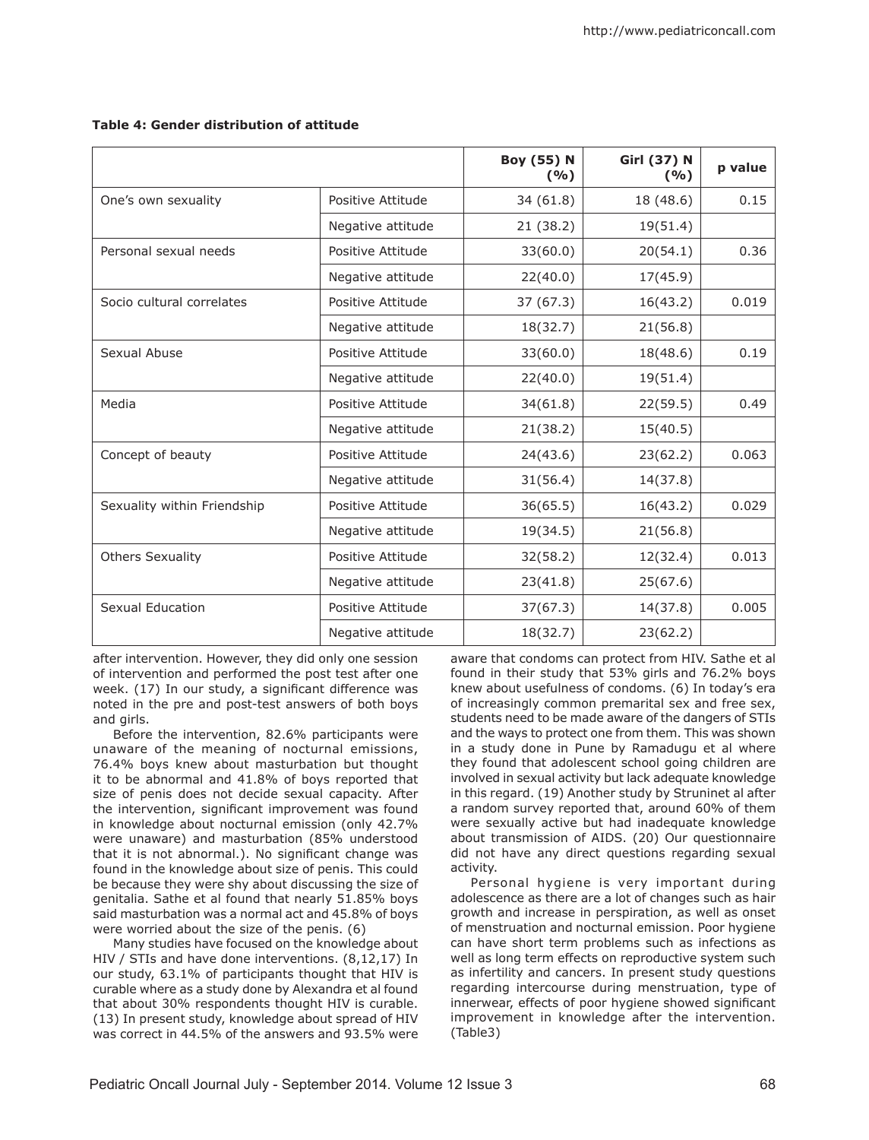|                             |                   | <b>Boy (55) N</b><br>(%) | <b>Girl (37) N</b><br>(9/6) | p value |
|-----------------------------|-------------------|--------------------------|-----------------------------|---------|
| One's own sexuality         | Positive Attitude | 34 (61.8)                | 18 (48.6)                   | 0.15    |
|                             | Negative attitude | 21 (38.2)                | 19(51.4)                    |         |
| Personal sexual needs       | Positive Attitude | 33(60.0)                 | 20(54.1)                    | 0.36    |
|                             | Negative attitude | 22(40.0)                 | 17(45.9)                    |         |
| Socio cultural correlates   | Positive Attitude | 37(67.3)                 | 16(43.2)                    | 0.019   |
|                             | Negative attitude | 18(32.7)                 | 21(56.8)                    |         |
| Sexual Abuse                | Positive Attitude | 33(60.0)                 | 18(48.6)                    | 0.19    |
|                             | Negative attitude | 22(40.0)                 | 19(51.4)                    |         |
| Media                       | Positive Attitude | 34(61.8)                 | 22(59.5)                    | 0.49    |
|                             | Negative attitude | 21(38.2)                 | 15(40.5)                    |         |
| Concept of beauty           | Positive Attitude | 24(43.6)                 | 23(62.2)                    | 0.063   |
|                             | Negative attitude | 31(56.4)                 | 14(37.8)                    |         |
| Sexuality within Friendship | Positive Attitude | 36(65.5)                 | 16(43.2)                    | 0.029   |
|                             | Negative attitude | 19(34.5)                 | 21(56.8)                    |         |
| <b>Others Sexuality</b>     | Positive Attitude | 32(58.2)                 | 12(32.4)                    | 0.013   |
|                             | Negative attitude | 23(41.8)                 | 25(67.6)                    |         |
| Sexual Education            | Positive Attitude | 37(67.3)                 | 14(37.8)                    | 0.005   |
|                             | Negative attitude | 18(32.7)                 | 23(62.2)                    |         |

# **Table 4: Gender distribution of attitude**

after intervention. However, they did only one session of intervention and performed the post test after one week. (17) In our study, a significant difference was noted in the pre and post-test answers of both boys and girls.

Before the intervention, 82.6% participants were unaware of the meaning of nocturnal emissions, 76.4% boys knew about masturbation but thought it to be abnormal and 41.8% of boys reported that size of penis does not decide sexual capacity. After the intervention, significant improvement was found in knowledge about nocturnal emission (only 42.7% were unaware) and masturbation (85% understood that it is not abnormal.). No significant change was found in the knowledge about size of penis. This could be because they were shy about discussing the size of genitalia. Sathe et al found that nearly 51.85% boys said masturbation was a normal act and 45.8% of boys were worried about the size of the penis. (6)

Many studies have focused on the knowledge about HIV / STIs and have done interventions. (8,12,17) In our study, 63.1% of participants thought that HIV is curable where as a study done by Alexandra et al found that about 30% respondents thought HIV is curable. (13) In present study, knowledge about spread of HIV was correct in 44.5% of the answers and 93.5% were aware that condoms can protect from HIV. Sathe et al found in their study that 53% girls and 76.2% boys knew about usefulness of condoms. (6) In today's era of increasingly common premarital sex and free sex, students need to be made aware of the dangers of STIs and the ways to protect one from them. This was shown in a study done in Pune by Ramadugu et al where they found that adolescent school going children are involved in sexual activity but lack adequate knowledge in this regard. (19) Another study by Struninet al after a random survey reported that, around 60% of them were sexually active but had inadequate knowledge about transmission of AIDS. (20) Our questionnaire did not have any direct questions regarding sexual activity.

Personal hygiene is very important during adolescence as there are a lot of changes such as hair growth and increase in perspiration, as well as onset of menstruation and nocturnal emission. Poor hygiene can have short term problems such as infections as well as long term effects on reproductive system such as infertility and cancers. In present study questions regarding intercourse during menstruation, type of innerwear, effects of poor hygiene showed significant improvement in knowledge after the intervention. (Table3)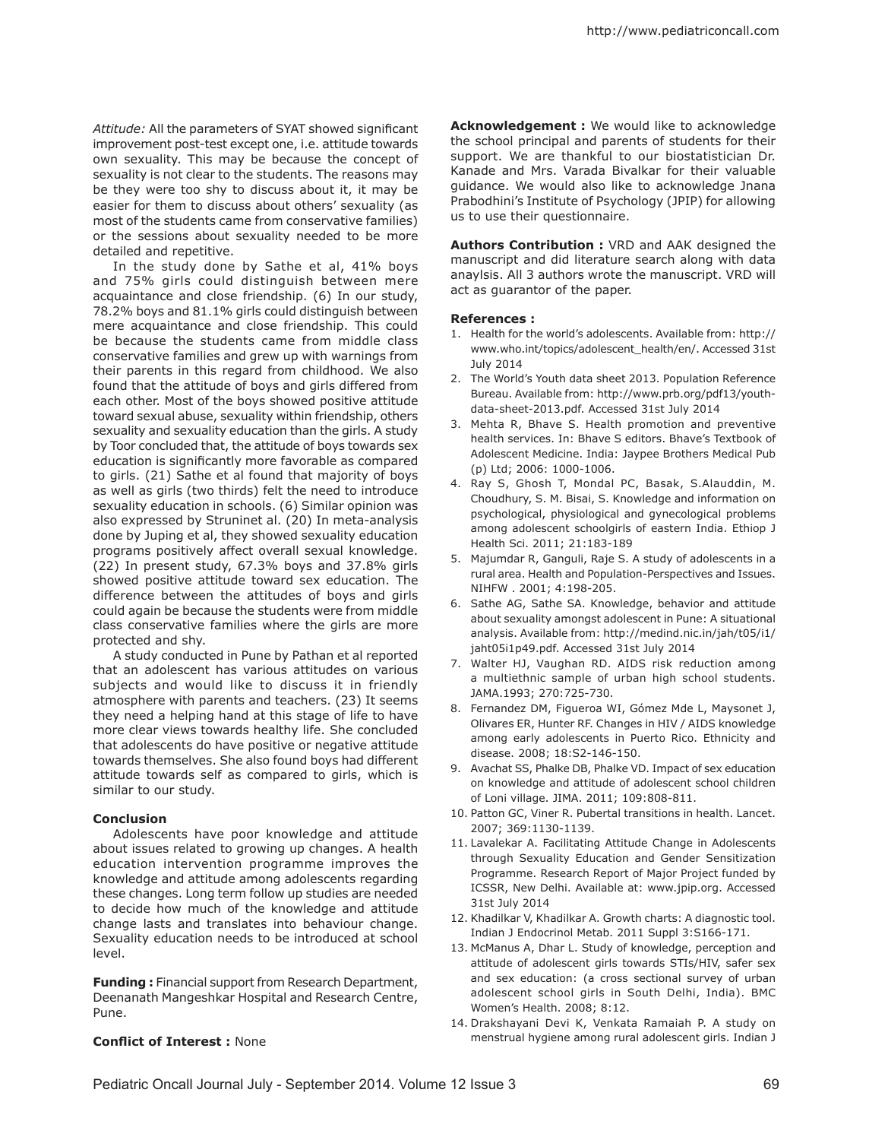*Attitude:* All the parameters of SYAT showed significant improvement post-test except one, i.e. attitude towards own sexuality. This may be because the concept of sexuality is not clear to the students. The reasons may be they were too shy to discuss about it, it may be easier for them to discuss about others' sexuality (as most of the students came from conservative families) or the sessions about sexuality needed to be more detailed and repetitive.

In the study done by Sathe et al, 41% boys and 75% girls could distinguish between mere acquaintance and close friendship. (6) In our study, 78.2% boys and 81.1% girls could distinguish between mere acquaintance and close friendship. This could be because the students came from middle class conservative families and grew up with warnings from their parents in this regard from childhood. We also found that the attitude of boys and girls differed from each other. Most of the boys showed positive attitude toward sexual abuse, sexuality within friendship, others sexuality and sexuality education than the girls. A study by Toor concluded that, the attitude of boys towards sex education is significantly more favorable as compared to girls. (21) Sathe et al found that majority of boys as well as girls (two thirds) felt the need to introduce sexuality education in schools. (6) Similar opinion was also expressed by Struninet al. (20) In meta-analysis done by Juping et al, they showed sexuality education programs positively affect overall sexual knowledge. (22) In present study, 67.3% boys and 37.8% girls showed positive attitude toward sex education. The difference between the attitudes of boys and girls could again be because the students were from middle class conservative families where the girls are more protected and shy.

A study conducted in Pune by Pathan et al reported that an adolescent has various attitudes on various subjects and would like to discuss it in friendly atmosphere with parents and teachers. (23) It seems they need a helping hand at this stage of life to have more clear views towards healthy life. She concluded that adolescents do have positive or negative attitude towards themselves. She also found boys had different attitude towards self as compared to girls, which is similar to our study.

### **Conclusion**

Adolescents have poor knowledge and attitude about issues related to growing up changes. A health education intervention programme improves the knowledge and attitude among adolescents regarding these changes. Long term follow up studies are needed to decide how much of the knowledge and attitude change lasts and translates into behaviour change. Sexuality education needs to be introduced at school level.

**Funding :** Financial support from Research Department, Deenanath Mangeshkar Hospital and Research Centre, Pune.

## **Conflict of Interest :** None

**Acknowledgement :** We would like to acknowledge the school principal and parents of students for their support. We are thankful to our biostatistician Dr. Kanade and Mrs. Varada Bivalkar for their valuable guidance. We would also like to acknowledge Jnana Prabodhini's Institute of Psychology (JPIP) for allowing us to use their questionnaire.

**Authors Contribution :** VRD and AAK designed the manuscript and did literature search along with data anaylsis. All 3 authors wrote the manuscript. VRD will act as guarantor of the paper.

### **References :**

- 1. Health for the world's adolescents. Available from: http:// www.who.int/topics/adolescent\_health/en/. Accessed 31st July 2014
- 2. The World's Youth data sheet 2013. Population Reference Bureau. Available from: http://www.prb.org/pdf13/youthdata-sheet-2013.pdf. Accessed 31st July 2014
- 3. Mehta R, Bhave S. Health promotion and preventive health services. In: Bhave S editors. Bhave's Textbook of Adolescent Medicine. India: Jaypee Brothers Medical Pub (p) Ltd; 2006: 1000-1006.
- 4. Ray S, Ghosh T, Mondal PC, Basak, S.Alauddin, M. Choudhury, S. M. Bisai, S. Knowledge and information on psychological, physiological and gynecological problems among adolescent schoolgirls of eastern India. Ethiop J Health Sci. 2011; 21:183-189
- 5. Majumdar R, Ganguli, Raje S. A study of adolescents in a rural area. Health and Population-Perspectives and Issues. NIHFW . 2001; 4:198-205.
- 6. Sathe AG, Sathe SA. Knowledge, behavior and attitude about sexuality amongst adolescent in Pune: A situational analysis. Available from: http://medind.nic.in/jah/t05/i1/ jaht05i1p49.pdf. Accessed 31st July 2014
- 7. Walter HJ, Vaughan RD. AIDS risk reduction among a multiethnic sample of urban high school students. JAMA.1993; 270:725-730.
- 8. Fernandez DM, Figueroa WI, Gómez Mde L, Maysonet J, Olivares ER, Hunter RF. Changes in HIV / AIDS knowledge among early adolescents in Puerto Rico. Ethnicity and disease. 2008; 18:S2-146-150.
- 9. Avachat SS, Phalke DB, Phalke VD. Impact of sex education on knowledge and attitude of adolescent school children of Loni village. JIMA. 2011; 109:808-811.
- 10. Patton GC, Viner R. Pubertal transitions in health. Lancet. 2007; 369:1130-1139.
- 11. Lavalekar A. Facilitating Attitude Change in Adolescents through Sexuality Education and Gender Sensitization Programme. Research Report of Major Project funded by ICSSR, New Delhi. Available at: www.jpip.org. Accessed 31st July 2014
- 12. Khadilkar V, Khadilkar A. Growth charts: A diagnostic tool. Indian J Endocrinol Metab. 2011 Suppl 3:S166-171.
- 13. McManus A, Dhar L. Study of knowledge, perception and attitude of adolescent girls towards STIs/HIV, safer sex and sex education: (a cross sectional survey of urban adolescent school girls in South Delhi, India). BMC Women's Health. 2008; 8:12.
- 14. Drakshayani Devi K, Venkata Ramaiah P. A study on menstrual hygiene among rural adolescent girls. Indian J